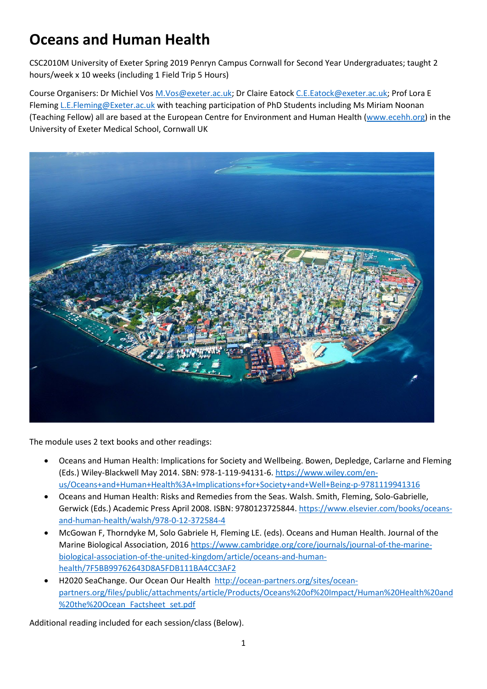# **Oceans and Human Health**

CSC2010M University of Exeter Spring 2019 Penryn Campus Cornwall for Second Year Undergraduates; taught 2 hours/week x 10 weeks (including 1 Field Trip 5 Hours)

Course Organisers: Dr Michiel Vos [M.Vos@exeter.ac.uk;](mailto:M.Vos@exeter.ac.uk) Dr Claire Eatock [C.E.Eatock@exeter.ac.uk;](mailto:C.E.Eatock@exeter.ac.uk) Prof Lora E Fleming [L.E.Fleming@Exeter.ac.uk](mailto:L.E.Fleming@Exeter.ac.uk) with teaching participation of PhD Students including Ms Miriam Noonan (Teaching Fellow) all are based at the European Centre for Environment and Human Health [\(www.ecehh.org\)](http://www.ecehh.org/) in the University of Exeter Medical School, Cornwall UK



The module uses 2 text books and other readings:

- Oceans and Human Health: Implications for Society and Wellbeing. Bowen, Depledge, Carlarne and Fleming (Eds.) Wiley-Blackwell May 2014. SBN: 978-1-119-94131-6. [https://www.wiley.com/en](https://www.wiley.com/en-us/Oceans+and+Human+Health%3A+Implications+for+Society+and+Well+Being-p-9781119941316)[us/Oceans+and+Human+Health%3A+Implications+for+Society+and+Well+Being-p-9781119941316](https://www.wiley.com/en-us/Oceans+and+Human+Health%3A+Implications+for+Society+and+Well+Being-p-9781119941316)
- Oceans and Human Health: Risks and Remedies from the Seas. Walsh. Smith, Fleming, Solo-Gabrielle, Gerwick (Eds.) Academic Press April 2008. ISBN: 9780123725844[. https://www.elsevier.com/books/oceans](https://www.elsevier.com/books/oceans-and-human-health/walsh/978-0-12-372584-4)[and-human-health/walsh/978-0-12-372584-4](https://www.elsevier.com/books/oceans-and-human-health/walsh/978-0-12-372584-4)
- McGowan F, Thorndyke M, Solo Gabriele H, Fleming LE. (eds). Oceans and Human Health. Journal of the Marine Biological Association, 2016 [https://www.cambridge.org/core/journals/journal-of-the-marine](https://www.cambridge.org/core/journals/journal-of-the-marine-biological-association-of-the-united-kingdom/article/oceans-and-human-health/7F5BB99762643D8A5FDB111BA4CC3AF2)[biological-association-of-the-united-kingdom/article/oceans-and-human](https://www.cambridge.org/core/journals/journal-of-the-marine-biological-association-of-the-united-kingdom/article/oceans-and-human-health/7F5BB99762643D8A5FDB111BA4CC3AF2)[health/7F5BB99762643D8A5FDB111BA4CC3AF2](https://www.cambridge.org/core/journals/journal-of-the-marine-biological-association-of-the-united-kingdom/article/oceans-and-human-health/7F5BB99762643D8A5FDB111BA4CC3AF2)
- H2020 SeaChange. Our Ocean Our Health [http://ocean-partners.org/sites/ocean](http://ocean-partners.org/sites/ocean-partners.org/files/public/attachments/article/Products/Oceans%20of%20Impact/Human%20Health%20and%20the%20Ocean_Factsheet_set.pdf)[partners.org/files/public/attachments/article/Products/Oceans%20of%20Impact/Human%20Health%20and](http://ocean-partners.org/sites/ocean-partners.org/files/public/attachments/article/Products/Oceans%20of%20Impact/Human%20Health%20and%20the%20Ocean_Factsheet_set.pdf) [%20the%20Ocean\\_Factsheet\\_set.pdf](http://ocean-partners.org/sites/ocean-partners.org/files/public/attachments/article/Products/Oceans%20of%20Impact/Human%20Health%20and%20the%20Ocean_Factsheet_set.pdf)

Additional reading included for each session/class (Below).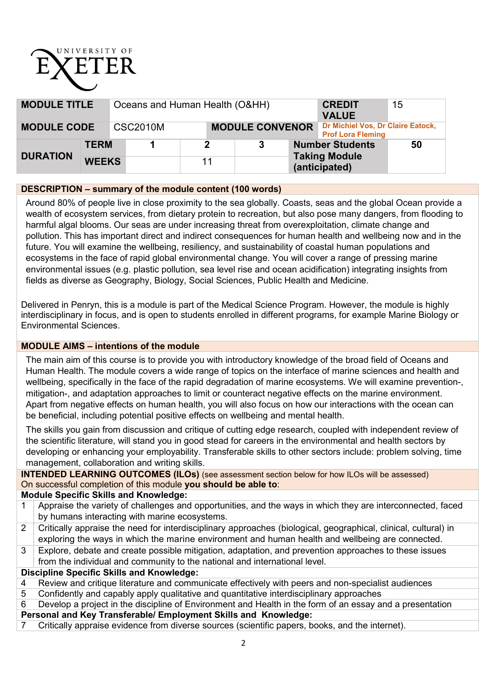# UNIVERSITY OF

| <b>MODULE TITLE</b> |              | Oceans and Human Health (O&HH) |    |                        |  |                                                                 | <b>CREDIT</b><br><b>VALUE</b>                                 | 15 |
|---------------------|--------------|--------------------------------|----|------------------------|--|-----------------------------------------------------------------|---------------------------------------------------------------|----|
| <b>MODULE CODE</b>  |              | <b>CSC2010M</b>                |    | <b>MODULE CONVENOR</b> |  |                                                                 | Dr Michiel Vos, Dr Claire Eatock,<br><b>Prof Lora Fleming</b> |    |
|                     | <b>TERM</b>  |                                |    |                        |  | <b>Number Students</b><br><b>Taking Module</b><br>(anticipated) |                                                               | 50 |
| <b>DURATION</b>     | <b>WEEKS</b> |                                | 11 |                        |  |                                                                 |                                                               |    |

## **DESCRIPTION – summary of the module content (100 words)**

Around 80% of people live in close proximity to the sea globally. Coasts, seas and the global Ocean provide a wealth of ecosystem services, from dietary protein to recreation, but also pose many dangers, from flooding to harmful algal blooms. Our seas are under increasing threat from overexploitation, climate change and pollution. This has important direct and indirect consequences for human health and wellbeing now and in the future. You will examine the wellbeing, resiliency, and sustainability of coastal human populations and ecosystems in the face of rapid global environmental change. You will cover a range of pressing marine environmental issues (e.g. plastic pollution, sea level rise and ocean acidification) integrating insights from fields as diverse as Geography, Biology, Social Sciences, Public Health and Medicine.

Delivered in Penryn, this is a module is part of the Medical Science Program. However, the module is highly interdisciplinary in focus, and is open to students enrolled in different programs, for example Marine Biology or Environmental Sciences.

## **MODULE AIMS – intentions of the module**

The main aim of this course is to provide you with introductory knowledge of the broad field of Oceans and Human Health. The module covers a wide range of topics on the interface of marine sciences and health and wellbeing, specifically in the face of the rapid degradation of marine ecosystems. We will examine prevention-, mitigation-, and adaptation approaches to limit or counteract negative effects on the marine environment. Apart from negative effects on human health, you will also focus on how our interactions with the ocean can be beneficial, including potential positive effects on wellbeing and mental health.

The skills you gain from discussion and critique of cutting edge research, coupled with independent review of the scientific literature, will stand you in good stead for careers in the environmental and health sectors by developing or enhancing your employability. Transferable skills to other sectors include: problem solving, time management, collaboration and writing skills.

**INTENDED LEARNING OUTCOMES (ILOs)** (see assessment section below for how ILOs will be assessed) On successful completion of this module **you should be able to**:

#### **Module Specific Skills and Knowledge:**

- 1 Appraise the variety of challenges and opportunities, and the ways in which they are interconnected, faced by humans interacting with marine ecosystems.
- 2 Critically appraise the need for interdisciplinary approaches (biological, geographical, clinical, cultural) in exploring the ways in which the marine environment and human health and wellbeing are connected.
- 3 Explore, debate and create possible mitigation, adaptation, and prevention approaches to these issues from the individual and community to the national and international level.

## **Discipline Specific Skills and Knowledge:**

- 4 Review and critique literature and communicate effectively with peers and non-specialist audiences
- 5 Confidently and capably apply qualitative and quantitative interdisciplinary approaches
- 6 Develop a project in the discipline of Environment and Health in the form of an essay and a presentation **Personal and Key Transferable/ Employment Skills and Knowledge:**
- 
- 7 Critically appraise evidence from diverse sources (scientific papers, books, and the internet).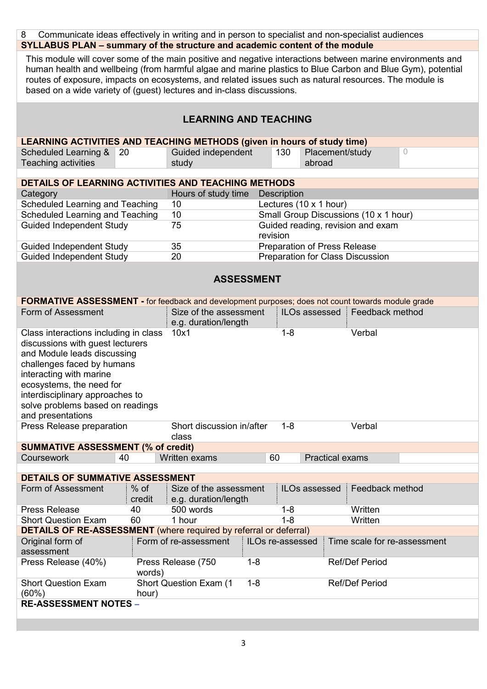| 8                                                                                                                                                                                                                                                                                                                                                                                                                                                                                          | Communicate ideas effectively in writing and in person to specialist and non-specialist audiences |                                                |                  |                    |                        |                                       |  |  |
|--------------------------------------------------------------------------------------------------------------------------------------------------------------------------------------------------------------------------------------------------------------------------------------------------------------------------------------------------------------------------------------------------------------------------------------------------------------------------------------------|---------------------------------------------------------------------------------------------------|------------------------------------------------|------------------|--------------------|------------------------|---------------------------------------|--|--|
|                                                                                                                                                                                                                                                                                                                                                                                                                                                                                            |                                                                                                   |                                                |                  |                    |                        |                                       |  |  |
| SYLLABUS PLAN - summary of the structure and academic content of the module<br>This module will cover some of the main positive and negative interactions between marine environments and<br>human health and wellbeing (from harmful algae and marine plastics to Blue Carbon and Blue Gym), potential<br>routes of exposure, impacts on ecosystems, and related issues such as natural resources. The module is<br>based on a wide variety of (guest) lectures and in-class discussions. |                                                                                                   |                                                |                  |                    |                        |                                       |  |  |
|                                                                                                                                                                                                                                                                                                                                                                                                                                                                                            | <b>LEARNING AND TEACHING</b>                                                                      |                                                |                  |                    |                        |                                       |  |  |
| LEARNING ACTIVITIES AND TEACHING METHODS (given in hours of study time)                                                                                                                                                                                                                                                                                                                                                                                                                    |                                                                                                   |                                                |                  |                    |                        |                                       |  |  |
| Scheduled Learning &                                                                                                                                                                                                                                                                                                                                                                                                                                                                       | 20                                                                                                | Guided independent                             |                  | 130                |                        | Placement/study<br>$\circ$            |  |  |
| Teaching activities                                                                                                                                                                                                                                                                                                                                                                                                                                                                        |                                                                                                   | study                                          |                  |                    | abroad                 |                                       |  |  |
| DETAILS OF LEARNING ACTIVITIES AND TEACHING METHODS                                                                                                                                                                                                                                                                                                                                                                                                                                        |                                                                                                   |                                                |                  |                    |                        |                                       |  |  |
| Category                                                                                                                                                                                                                                                                                                                                                                                                                                                                                   |                                                                                                   | Hours of study time                            |                  | <b>Description</b> |                        |                                       |  |  |
| Scheduled Learning and Teaching                                                                                                                                                                                                                                                                                                                                                                                                                                                            |                                                                                                   | 10                                             |                  |                    | Lectures (10 x 1 hour) |                                       |  |  |
| Scheduled Learning and Teaching                                                                                                                                                                                                                                                                                                                                                                                                                                                            |                                                                                                   | 10                                             |                  |                    |                        | Small Group Discussions (10 x 1 hour) |  |  |
| <b>Guided Independent Study</b>                                                                                                                                                                                                                                                                                                                                                                                                                                                            |                                                                                                   | 75                                             |                  |                    |                        | Guided reading, revision and exam     |  |  |
|                                                                                                                                                                                                                                                                                                                                                                                                                                                                                            |                                                                                                   |                                                |                  | revision           |                        |                                       |  |  |
| <b>Guided Independent Study</b>                                                                                                                                                                                                                                                                                                                                                                                                                                                            |                                                                                                   | 35                                             |                  |                    |                        | Preparation of Press Release          |  |  |
| <b>Guided Independent Study</b>                                                                                                                                                                                                                                                                                                                                                                                                                                                            |                                                                                                   | 20                                             |                  |                    |                        | Preparation for Class Discussion      |  |  |
|                                                                                                                                                                                                                                                                                                                                                                                                                                                                                            |                                                                                                   | <b>ASSESSMENT</b>                              |                  |                    |                        |                                       |  |  |
| <b>FORMATIVE ASSESSMENT - for feedback and development purposes; does not count towards module grade</b>                                                                                                                                                                                                                                                                                                                                                                                   |                                                                                                   |                                                |                  |                    |                        |                                       |  |  |
| Form of Assessment                                                                                                                                                                                                                                                                                                                                                                                                                                                                         |                                                                                                   | Size of the assessment                         |                  |                    | ILOs assessed          | Feedback method                       |  |  |
|                                                                                                                                                                                                                                                                                                                                                                                                                                                                                            |                                                                                                   | e.g. duration/length                           |                  | $1 - 8$            |                        |                                       |  |  |
| Class interactions including in class<br>discussions with guest lecturers<br>and Module leads discussing<br>challenges faced by humans<br>interacting with marine<br>ecosystems, the need for<br>interdisciplinary approaches to<br>solve problems based on readings<br>and presentations                                                                                                                                                                                                  |                                                                                                   | 10x1                                           |                  |                    |                        | Verbal                                |  |  |
| Press Release preparation                                                                                                                                                                                                                                                                                                                                                                                                                                                                  |                                                                                                   | Short discussion in/after<br>class             |                  | $1 - 8$            |                        | Verbal                                |  |  |
| <b>SUMMATIVE ASSESSMENT (% of credit)</b>                                                                                                                                                                                                                                                                                                                                                                                                                                                  |                                                                                                   |                                                |                  |                    |                        |                                       |  |  |
| Coursework                                                                                                                                                                                                                                                                                                                                                                                                                                                                                 | 40                                                                                                | Written exams                                  |                  | 60                 | <b>Practical exams</b> |                                       |  |  |
|                                                                                                                                                                                                                                                                                                                                                                                                                                                                                            |                                                                                                   |                                                |                  |                    |                        |                                       |  |  |
| DETAILS OF SUMMATIVE ASSESSMENT                                                                                                                                                                                                                                                                                                                                                                                                                                                            |                                                                                                   |                                                |                  |                    |                        |                                       |  |  |
| Form of Assessment                                                                                                                                                                                                                                                                                                                                                                                                                                                                         | $%$ of<br>credit                                                                                  | Size of the assessment<br>e.g. duration/length |                  |                    | ILOs assessed          | Feedback method                       |  |  |
| <b>Press Release</b>                                                                                                                                                                                                                                                                                                                                                                                                                                                                       | 40                                                                                                | 500 words                                      |                  | $1 - 8$            |                        | Written                               |  |  |
| <b>Short Question Exam</b>                                                                                                                                                                                                                                                                                                                                                                                                                                                                 | 60                                                                                                | 1 hour                                         |                  | $1 - 8$            |                        | Written                               |  |  |
| <b>DETAILS OF RE-ASSESSMENT</b> (where required by referral or deferral)                                                                                                                                                                                                                                                                                                                                                                                                                   |                                                                                                   |                                                |                  |                    |                        |                                       |  |  |
| Original form of<br>assessment                                                                                                                                                                                                                                                                                                                                                                                                                                                             |                                                                                                   | Form of re-assessment                          | ILOs re-assessed |                    |                        | Time scale for re-assessment          |  |  |
| Press Release (40%)                                                                                                                                                                                                                                                                                                                                                                                                                                                                        | words)                                                                                            | Press Release (750                             | $1 - 8$          |                    |                        | <b>Ref/Def Period</b>                 |  |  |
| <b>Short Question Exam</b><br>(60%)<br><b>RE-ASSESSMENT NOTES -</b>                                                                                                                                                                                                                                                                                                                                                                                                                        | <b>Short Question Exam (1)</b>                                                                    | $1 - 8$                                        |                  |                    | <b>Ref/Def Period</b>  |                                       |  |  |
|                                                                                                                                                                                                                                                                                                                                                                                                                                                                                            |                                                                                                   |                                                |                  |                    |                        |                                       |  |  |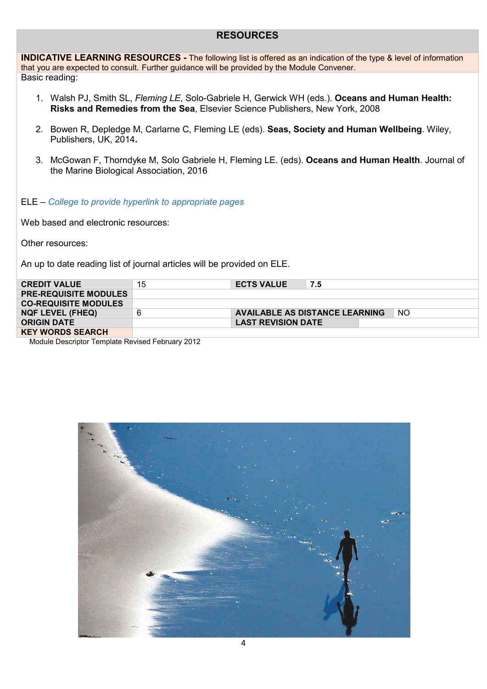# **RESOURCES**

**INDICATIVE LEARNING RESOURCES -** The following list is offered as an indication of the type & level of information that you are expected to consult. Further guidance will be provided by the Module Convener. Basic reading:

- 1. Walsh PJ, Smith SL, *Fleming LE*, Solo-Gabriele H, Gerwick WH (eds.). **Oceans and Human Health: Risks and Remedies from the Sea**, Elsevier Science Publishers, New York, 2008
- 2. Bowen R, Depledge M, Carlarne C, Fleming LE (eds). **Seas, Society and Human Wellbeing**. Wiley, Publishers, UK, 2014**.**
- 3. McGowan F, Thorndyke M, Solo Gabriele H, Fleming LE. (eds). **Oceans and Human Health**. Journal of the Marine Biological Association, 2016

#### ELE – *College to provide hyperlink to appropriate pages*

Web based and electronic resources:

Other resources:

An up to date reading list of journal articles will be provided on ELE.

| <b>CREDIT VALUE</b>          | 15 | <b>ECTS VALUE</b>         | 7.5                                   |     |
|------------------------------|----|---------------------------|---------------------------------------|-----|
| <b>PRE-REQUISITE MODULES</b> |    |                           |                                       |     |
| <b>CO-REQUISITE MODULES</b>  |    |                           |                                       |     |
| <b>NQF LEVEL (FHEQ)</b>      |    |                           | <b>AVAILABLE AS DISTANCE LEARNING</b> | -NO |
| <b>ORIGIN DATE</b>           |    | <b>LAST REVISION DATE</b> |                                       |     |
| <b>KEY WORDS SEARCH</b>      |    |                           |                                       |     |

Module Descriptor Template Revised February 2012

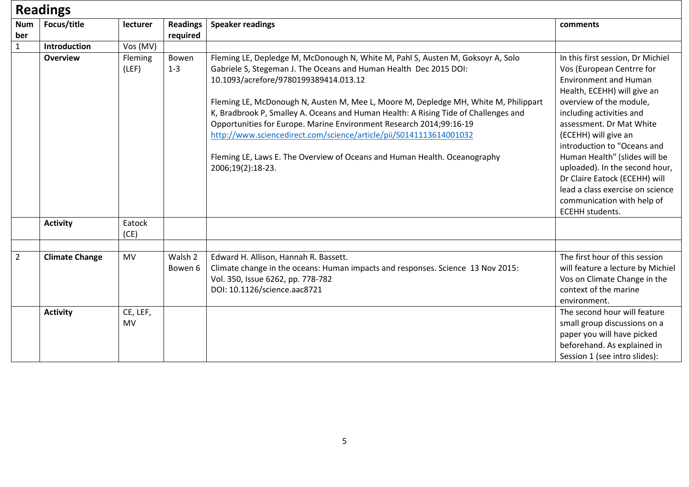# **Readings**

| <b>Num</b><br>ber | Focus/title           | lecturer              | <b>Readings</b><br>required | <b>Speaker readings</b>                                                                                                                                                                                                                                                                                                                                                                                                                                                                                                                                                                                                    | comments                                                                                                                                                                                                                                                                                                                                                                                                                                                                |
|-------------------|-----------------------|-----------------------|-----------------------------|----------------------------------------------------------------------------------------------------------------------------------------------------------------------------------------------------------------------------------------------------------------------------------------------------------------------------------------------------------------------------------------------------------------------------------------------------------------------------------------------------------------------------------------------------------------------------------------------------------------------------|-------------------------------------------------------------------------------------------------------------------------------------------------------------------------------------------------------------------------------------------------------------------------------------------------------------------------------------------------------------------------------------------------------------------------------------------------------------------------|
| $\mathbf{1}$      | Introduction          | Vos (MV)              |                             |                                                                                                                                                                                                                                                                                                                                                                                                                                                                                                                                                                                                                            |                                                                                                                                                                                                                                                                                                                                                                                                                                                                         |
|                   | <b>Overview</b>       | Fleming<br>(LEF)      | Bowen<br>$1 - 3$            | Fleming LE, Depledge M, McDonough N, White M, Pahl S, Austen M, Goksoyr A, Solo<br>Gabriele S, Stegeman J. The Oceans and Human Health Dec 2015 DOI:<br>10.1093/acrefore/9780199389414.013.12<br>Fleming LE, McDonough N, Austen M, Mee L, Moore M, Depledge MH, White M, Philippart<br>K, Bradbrook P, Smalley A. Oceans and Human Health: A Rising Tide of Challenges and<br>Opportunities for Europe. Marine Environment Research 2014;99:16-19<br>http://www.sciencedirect.com/science/article/pii/S0141113614001032<br>Fleming LE, Laws E. The Overview of Oceans and Human Health. Oceanography<br>2006;19(2):18-23. | In this first session, Dr Michiel<br>Vos (European Centrre for<br><b>Environment and Human</b><br>Health, ECEHH) will give an<br>overview of the module,<br>including activities and<br>assessment. Dr Mat White<br>(ECEHH) will give an<br>introduction to "Oceans and<br>Human Health" (slides will be<br>uploaded). In the second hour,<br>Dr Claire Eatock (ECEHH) will<br>lead a class exercise on science<br>communication with help of<br><b>ECEHH</b> students. |
|                   | <b>Activity</b>       | Eatock<br>(CE)        |                             |                                                                                                                                                                                                                                                                                                                                                                                                                                                                                                                                                                                                                            |                                                                                                                                                                                                                                                                                                                                                                                                                                                                         |
| $\overline{2}$    | <b>Climate Change</b> | <b>MV</b>             | Walsh 2<br>Bowen 6          | Edward H. Allison, Hannah R. Bassett.<br>Climate change in the oceans: Human impacts and responses. Science 13 Nov 2015:<br>Vol. 350, Issue 6262, pp. 778-782<br>DOI: 10.1126/science.aac8721                                                                                                                                                                                                                                                                                                                                                                                                                              | The first hour of this session<br>will feature a lecture by Michiel<br>Vos on Climate Change in the<br>context of the marine<br>environment.                                                                                                                                                                                                                                                                                                                            |
|                   | <b>Activity</b>       | CE, LEF,<br><b>MV</b> |                             |                                                                                                                                                                                                                                                                                                                                                                                                                                                                                                                                                                                                                            | The second hour will feature<br>small group discussions on a<br>paper you will have picked<br>beforehand. As explained in<br>Session 1 (see intro slides):                                                                                                                                                                                                                                                                                                              |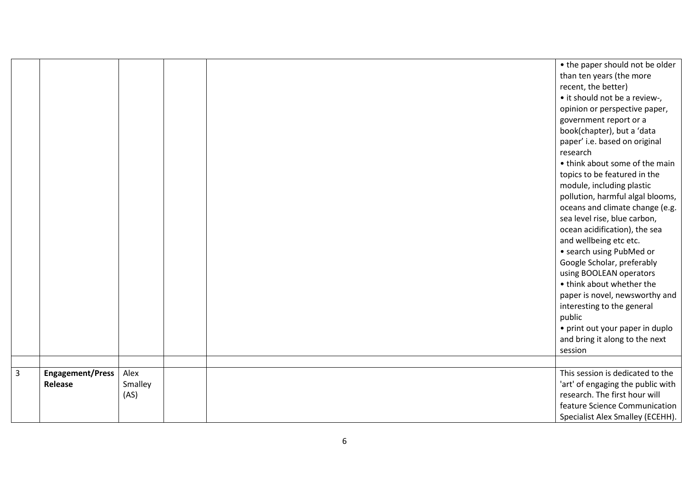|                |                         |         |  | • the paper should not be older   |
|----------------|-------------------------|---------|--|-----------------------------------|
|                |                         |         |  | than ten years (the more          |
|                |                         |         |  | recent, the better)               |
|                |                         |         |  | • it should not be a review-,     |
|                |                         |         |  | opinion or perspective paper,     |
|                |                         |         |  | government report or a            |
|                |                         |         |  | book(chapter), but a 'data        |
|                |                         |         |  | paper' i.e. based on original     |
|                |                         |         |  | research                          |
|                |                         |         |  | • think about some of the main    |
|                |                         |         |  | topics to be featured in the      |
|                |                         |         |  | module, including plastic         |
|                |                         |         |  | pollution, harmful algal blooms,  |
|                |                         |         |  | oceans and climate change (e.g.   |
|                |                         |         |  | sea level rise, blue carbon,      |
|                |                         |         |  | ocean acidification), the sea     |
|                |                         |         |  | and wellbeing etc etc.            |
|                |                         |         |  | • search using PubMed or          |
|                |                         |         |  | Google Scholar, preferably        |
|                |                         |         |  | using BOOLEAN operators           |
|                |                         |         |  | • think about whether the         |
|                |                         |         |  | paper is novel, newsworthy and    |
|                |                         |         |  | interesting to the general        |
|                |                         |         |  | public                            |
|                |                         |         |  | • print out your paper in duplo   |
|                |                         |         |  | and bring it along to the next    |
|                |                         |         |  | session                           |
|                |                         |         |  |                                   |
| $\overline{3}$ | <b>Engagement/Press</b> | Alex    |  | This session is dedicated to the  |
|                | Release                 | Smalley |  | 'art' of engaging the public with |
|                |                         | (AS)    |  | research. The first hour will     |
|                |                         |         |  | feature Science Communication     |
|                |                         |         |  | Specialist Alex Smalley (ECEHH).  |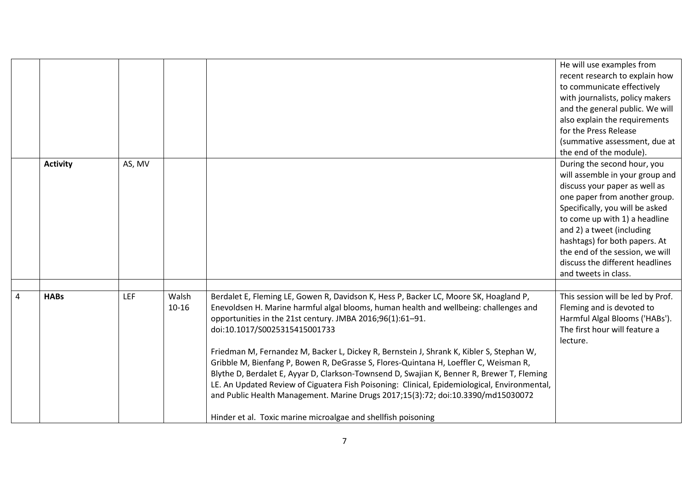|                |                 |            |                    |                                                                                                                                                                                                                                                                                                                                                                                                                                                                                                                                                                                                                                                                                                                                                                                                                      | He will use examples from<br>recent research to explain how<br>to communicate effectively<br>with journalists, policy makers<br>and the general public. We will<br>also explain the requirements<br>for the Press Release<br>(summative assessment, due at<br>the end of the module).                                                                            |
|----------------|-----------------|------------|--------------------|----------------------------------------------------------------------------------------------------------------------------------------------------------------------------------------------------------------------------------------------------------------------------------------------------------------------------------------------------------------------------------------------------------------------------------------------------------------------------------------------------------------------------------------------------------------------------------------------------------------------------------------------------------------------------------------------------------------------------------------------------------------------------------------------------------------------|------------------------------------------------------------------------------------------------------------------------------------------------------------------------------------------------------------------------------------------------------------------------------------------------------------------------------------------------------------------|
|                | <b>Activity</b> | AS, MV     |                    |                                                                                                                                                                                                                                                                                                                                                                                                                                                                                                                                                                                                                                                                                                                                                                                                                      | During the second hour, you<br>will assemble in your group and<br>discuss your paper as well as<br>one paper from another group.<br>Specifically, you will be asked<br>to come up with 1) a headline<br>and 2) a tweet (including<br>hashtags) for both papers. At<br>the end of the session, we will<br>discuss the different headlines<br>and tweets in class. |
| $\overline{4}$ | <b>HABs</b>     | <b>LEF</b> | Walsh<br>$10 - 16$ | Berdalet E, Fleming LE, Gowen R, Davidson K, Hess P, Backer LC, Moore SK, Hoagland P,<br>Enevoldsen H. Marine harmful algal blooms, human health and wellbeing: challenges and<br>opportunities in the 21st century. JMBA 2016;96(1):61-91.<br>doi:10.1017/S0025315415001733<br>Friedman M, Fernandez M, Backer L, Dickey R, Bernstein J, Shrank K, Kibler S, Stephan W,<br>Gribble M, Bienfang P, Bowen R, DeGrasse S, Flores-Quintana H, Loeffler C, Weisman R,<br>Blythe D, Berdalet E, Ayyar D, Clarkson-Townsend D, Swajian K, Benner R, Brewer T, Fleming<br>LE. An Updated Review of Ciguatera Fish Poisoning: Clinical, Epidemiological, Environmental,<br>and Public Health Management. Marine Drugs 2017;15(3):72; doi:10.3390/md15030072<br>Hinder et al. Toxic marine microalgae and shellfish poisoning | This session will be led by Prof.<br>Fleming and is devoted to<br>Harmful Algal Blooms ('HABs').<br>The first hour will feature a<br>lecture.                                                                                                                                                                                                                    |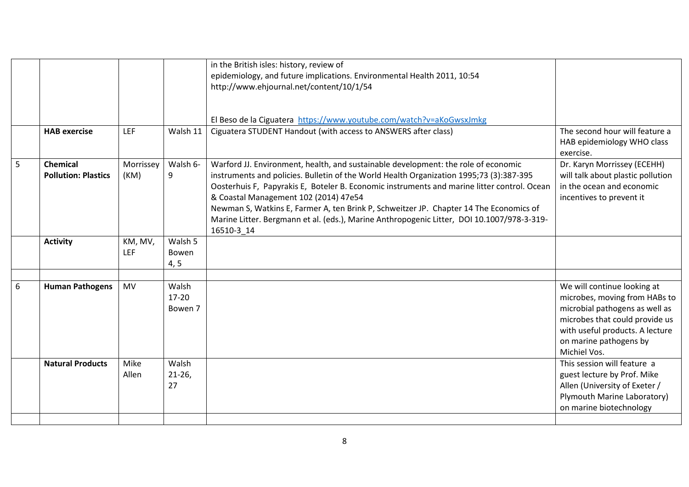|   |                            |            |                  | in the British isles: history, review of<br>epidemiology, and future implications. Environmental Health 2011, 10:54                                                                  |                                                                           |
|---|----------------------------|------------|------------------|--------------------------------------------------------------------------------------------------------------------------------------------------------------------------------------|---------------------------------------------------------------------------|
|   |                            |            |                  | http://www.ehjournal.net/content/10/1/54                                                                                                                                             |                                                                           |
|   |                            |            |                  |                                                                                                                                                                                      |                                                                           |
|   |                            |            |                  | El Beso de la Ciguatera https://www.youtube.com/watch?v=aKoGwsxJmkg                                                                                                                  |                                                                           |
|   | <b>HAB</b> exercise        | <b>LEF</b> | Walsh 11         | Ciguatera STUDENT Handout (with access to ANSWERS after class)                                                                                                                       | The second hour will feature a<br>HAB epidemiology WHO class<br>exercise. |
| 5 | <b>Chemical</b>            | Morrissey  | Walsh 6-         | Warford JJ. Environment, health, and sustainable development: the role of economic                                                                                                   | Dr. Karyn Morrissey (ECEHH)                                               |
|   | <b>Pollution: Plastics</b> | (KM)       | 9                | instruments and policies. Bulletin of the World Health Organization 1995;73 (3):387-395                                                                                              | will talk about plastic pollution                                         |
|   |                            |            |                  | Oosterhuis F, Papyrakis E, Boteler B. Economic instruments and marine litter control. Ocean                                                                                          | in the ocean and economic                                                 |
|   |                            |            |                  | & Coastal Management 102 (2014) 47e54                                                                                                                                                | incentives to prevent it                                                  |
|   |                            |            |                  | Newman S, Watkins E, Farmer A, ten Brink P, Schweitzer JP. Chapter 14 The Economics of<br>Marine Litter. Bergmann et al. (eds.), Marine Anthropogenic Litter, DOI 10.1007/978-3-319- |                                                                           |
|   |                            |            |                  | 16510-3 14                                                                                                                                                                           |                                                                           |
|   | <b>Activity</b>            | KM, MV,    | Walsh 5          |                                                                                                                                                                                      |                                                                           |
|   |                            | LEF        | Bowen            |                                                                                                                                                                                      |                                                                           |
|   |                            |            | 4, 5             |                                                                                                                                                                                      |                                                                           |
|   |                            |            |                  |                                                                                                                                                                                      |                                                                           |
| 6 | <b>Human Pathogens</b>     | <b>MV</b>  | Walsh<br>$17-20$ |                                                                                                                                                                                      | We will continue looking at                                               |
|   |                            |            | Bowen 7          |                                                                                                                                                                                      | microbes, moving from HABs to<br>microbial pathogens as well as           |
|   |                            |            |                  |                                                                                                                                                                                      | microbes that could provide us                                            |
|   |                            |            |                  |                                                                                                                                                                                      | with useful products. A lecture                                           |
|   |                            |            |                  |                                                                                                                                                                                      | on marine pathogens by                                                    |
|   |                            |            |                  |                                                                                                                                                                                      | Michiel Vos.                                                              |
|   | <b>Natural Products</b>    | Mike       | Walsh            |                                                                                                                                                                                      | This session will feature a                                               |
|   |                            | Allen      | $21-26$          |                                                                                                                                                                                      | guest lecture by Prof. Mike                                               |
|   |                            |            | 27               |                                                                                                                                                                                      | Allen (University of Exeter /                                             |
|   |                            |            |                  |                                                                                                                                                                                      | Plymouth Marine Laboratory)                                               |
|   |                            |            |                  |                                                                                                                                                                                      | on marine biotechnology                                                   |
|   |                            |            |                  |                                                                                                                                                                                      |                                                                           |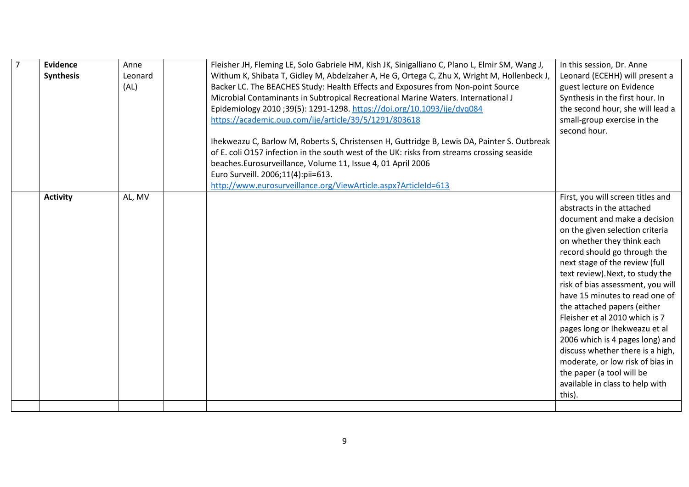|  | Evidence<br><b>Synthesis</b> | Anne<br>Leonard<br>(AL) | Fleisher JH, Fleming LE, Solo Gabriele HM, Kish JK, Sinigalliano C, Plano L, Elmir SM, Wang J,<br>Withum K, Shibata T, Gidley M, Abdelzaher A, He G, Ortega C, Zhu X, Wright M, Hollenbeck J,<br>Backer LC. The BEACHES Study: Health Effects and Exposures from Non-point Source<br>Microbial Contaminants in Subtropical Recreational Marine Waters. International J<br>Epidemiology 2010 ;39(5): 1291-1298. https://doi.org/10.1093/ije/dyq084<br>https://academic.oup.com/ije/article/39/5/1291/803618<br>Ihekweazu C, Barlow M, Roberts S, Christensen H, Guttridge B, Lewis DA, Painter S. Outbreak<br>of E. coli O157 infection in the south west of the UK: risks from streams crossing seaside<br>beaches.Eurosurveillance, Volume 11, Issue 4, 01 April 2006<br>Euro Surveill. 2006;11(4):pii=613.<br>http://www.eurosurveillance.org/ViewArticle.aspx?ArticleId=613 | In this session, Dr. Anne<br>Leonard (ECEHH) will present a<br>guest lecture on Evidence<br>Synthesis in the first hour. In<br>the second hour, she will lead a<br>small-group exercise in the<br>second hour.                                                                                                                                                                                                                                                                                                                                                                                                                      |
|--|------------------------------|-------------------------|--------------------------------------------------------------------------------------------------------------------------------------------------------------------------------------------------------------------------------------------------------------------------------------------------------------------------------------------------------------------------------------------------------------------------------------------------------------------------------------------------------------------------------------------------------------------------------------------------------------------------------------------------------------------------------------------------------------------------------------------------------------------------------------------------------------------------------------------------------------------------------|-------------------------------------------------------------------------------------------------------------------------------------------------------------------------------------------------------------------------------------------------------------------------------------------------------------------------------------------------------------------------------------------------------------------------------------------------------------------------------------------------------------------------------------------------------------------------------------------------------------------------------------|
|  | <b>Activity</b>              | AL, MV                  |                                                                                                                                                                                                                                                                                                                                                                                                                                                                                                                                                                                                                                                                                                                                                                                                                                                                                | First, you will screen titles and<br>abstracts in the attached<br>document and make a decision<br>on the given selection criteria<br>on whether they think each<br>record should go through the<br>next stage of the review (full<br>text review). Next, to study the<br>risk of bias assessment, you will<br>have 15 minutes to read one of<br>the attached papers (either<br>Fleisher et al 2010 which is 7<br>pages long or Ihekweazu et al<br>2006 which is 4 pages long) and<br>discuss whether there is a high,<br>moderate, or low risk of bias in<br>the paper (a tool will be<br>available in class to help with<br>this). |
|  |                              |                         |                                                                                                                                                                                                                                                                                                                                                                                                                                                                                                                                                                                                                                                                                                                                                                                                                                                                                |                                                                                                                                                                                                                                                                                                                                                                                                                                                                                                                                                                                                                                     |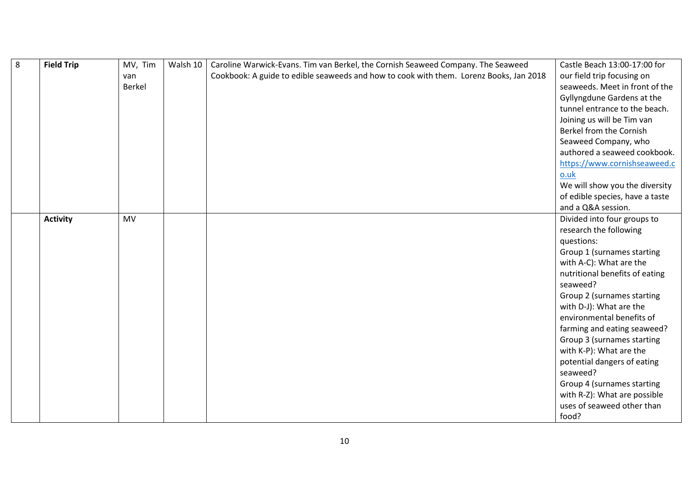| $8\phantom{1}$ | <b>Field Trip</b> | MV, Tim   | Walsh 10 | Caroline Warwick-Evans. Tim van Berkel, the Cornish Seaweed Company. The Seaweed       | Castle Beach 13:00-17:00 for    |
|----------------|-------------------|-----------|----------|----------------------------------------------------------------------------------------|---------------------------------|
|                |                   | van       |          | Cookbook: A guide to edible seaweeds and how to cook with them. Lorenz Books, Jan 2018 | our field trip focusing on      |
|                |                   | Berkel    |          |                                                                                        | seaweeds. Meet in front of the  |
|                |                   |           |          |                                                                                        | Gyllyngdune Gardens at the      |
|                |                   |           |          |                                                                                        | tunnel entrance to the beach.   |
|                |                   |           |          |                                                                                        | Joining us will be Tim van      |
|                |                   |           |          |                                                                                        | Berkel from the Cornish         |
|                |                   |           |          |                                                                                        | Seaweed Company, who            |
|                |                   |           |          |                                                                                        | authored a seaweed cookbook.    |
|                |                   |           |          |                                                                                        | https://www.cornishseaweed.c    |
|                |                   |           |          |                                                                                        | 0.0k                            |
|                |                   |           |          |                                                                                        | We will show you the diversity  |
|                |                   |           |          |                                                                                        | of edible species, have a taste |
|                |                   |           |          |                                                                                        | and a Q&A session.              |
|                | <b>Activity</b>   | <b>MV</b> |          |                                                                                        | Divided into four groups to     |
|                |                   |           |          |                                                                                        | research the following          |
|                |                   |           |          |                                                                                        | questions:                      |
|                |                   |           |          |                                                                                        | Group 1 (surnames starting      |
|                |                   |           |          |                                                                                        | with A-C): What are the         |
|                |                   |           |          |                                                                                        | nutritional benefits of eating  |
|                |                   |           |          |                                                                                        | seaweed?                        |
|                |                   |           |          |                                                                                        | Group 2 (surnames starting      |
|                |                   |           |          |                                                                                        | with D-J): What are the         |
|                |                   |           |          |                                                                                        | environmental benefits of       |
|                |                   |           |          |                                                                                        | farming and eating seaweed?     |
|                |                   |           |          |                                                                                        | Group 3 (surnames starting      |
|                |                   |           |          |                                                                                        | with K-P): What are the         |
|                |                   |           |          |                                                                                        | potential dangers of eating     |
|                |                   |           |          |                                                                                        | seaweed?                        |
|                |                   |           |          |                                                                                        | Group 4 (surnames starting      |
|                |                   |           |          |                                                                                        | with R-Z): What are possible    |
|                |                   |           |          |                                                                                        | uses of seaweed other than      |
|                |                   |           |          |                                                                                        | food?                           |